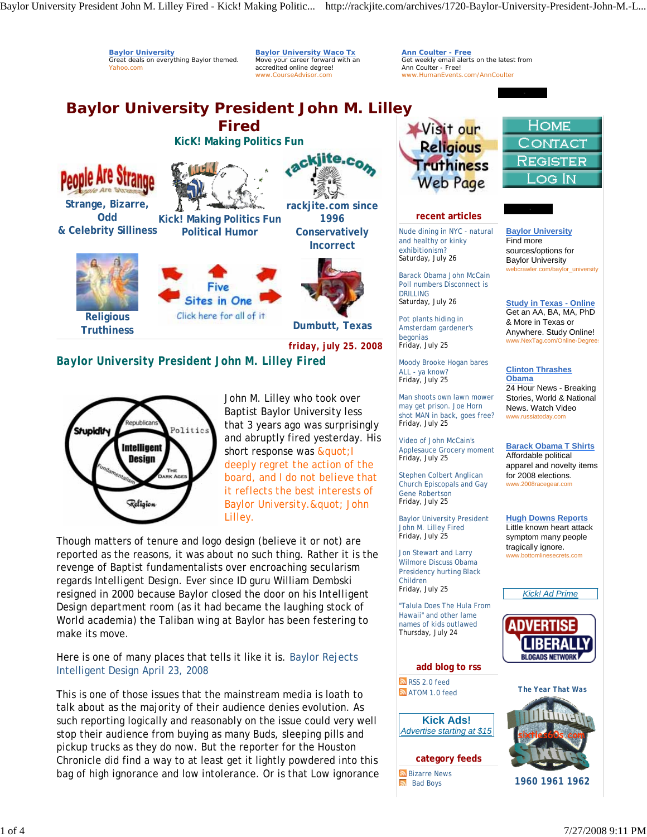Baylor University President John M. Lilley Fired - Kick! Making Politic... http://rackjite.com/archives/1720-Baylor-University-President-John-M.-L...



Man shoots own lawn mower may get prison. Joe Horn shot MAN in back, goes free?

Stephen Colbert Anglican Church Episcopals and Gay Gene Robertson Friday, July 25

Baylor University President John M. Lilley Fired Friday, July 25 Jon Stewart and Larry Wilmore Discuss Obama Presidency hurting Black

"Talula Does The Hula From Hawaii" and other lame names of kids outlawed Thursday, July 24

**add blog to rss**

**category feeds**

**Kick Ads!** *Advertise starting at \$15*

RSS 2.0 feed ATOM 1.0 feed

**Bizarre News Bad Boys** 

Friday, July 25 Video of John McCain's Applesauce Grocery moment

Friday, July 25

Children Friday, July 25



John M. Lilley who took over Baptist Baylor University less that 3 years ago was surprisingly and abruptly fired yesterday. His short response was *"I deeply regret the action of the board, and I do not believe that it reflects the best interests of* **Baylor University. & quot; John** *Lilley.*

Though matters of tenure and logo design (believe it or not) are reported as the reasons, it was about no such thing. Rather it is the revenge of Baptist fundamentalists over encroaching secularism regards *Intelligent Design.* Ever since ID guru William Dembski resigned in 2000 because Baylor closed the door on his *Intelligent Design* department room (as it had became the laughing stock of World academia) the Taliban wing at Baylor has been festering to make its move.

Here is one of many places that tells it like it is. Baylor Rejects Intelligent Design April 23, 2008

This is one of those issues that the mainstream media is loath to talk about as the majority of their audience denies evolution. As such reporting logically and reasonably on the issue could very well stop their audience from buying as many Buds, sleeping pills and pickup trucks as they do now. But the reporter for the Houston Chronicle did find a way to at least get it lightly powdered into this bag of high ignorance and low intolerance. Or is that Low ignorance



1 of 4 7/27/2008 9:11 PM *1960 1961 1962*

*The Year That Was*

.IBERAL **BLOGADS NETWORK** 

*Kick! Ad Prime*

**ADVERTISE** 

Stories, World & National News. Watch Video www.russiatoday.com

**Barack Obama T Shirts** Affordable political apparel and novelty items for 2008 elections. www.2008racegear.com

**Hugh Downs Reports** Little known heart attack symptom many people tragically ignore. www.bottomlinesecrets.com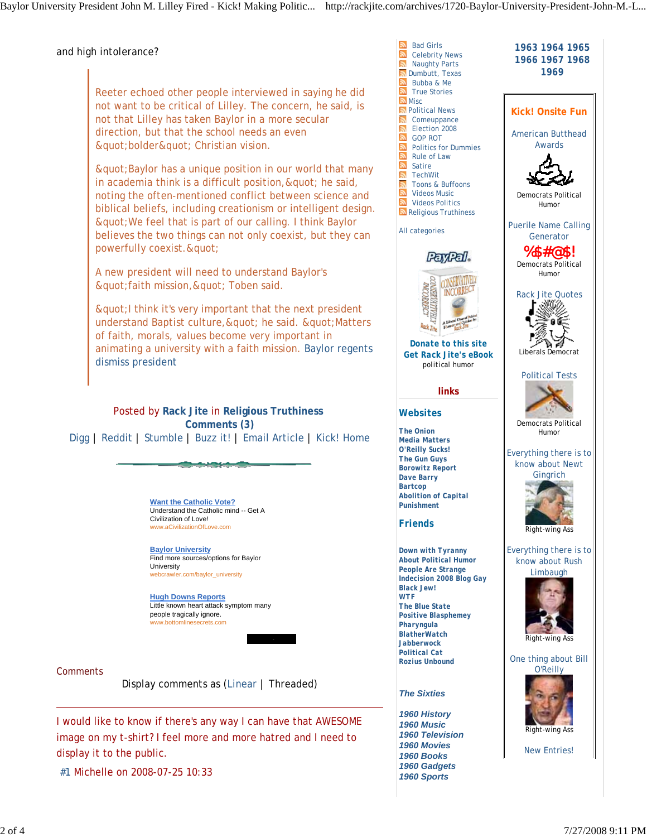and high intolerance?

Reeter echoed other people interviewed in saying he did not want to be critical of Lilley. The concern, he said, is not that Lilley has taken Baylor in a more secular direction, but that the school needs an even " bolder" Christian vision.

& quot; Baylor has a unique position in our world that many in academia think is a difficult position, & quot; he said, noting the often-mentioned conflict between science and biblical beliefs, including creationism or intelligent design. "We feel that is part of our calling. I think Baylor believes the two things can not only coexist, but they can powerfully coexist. & quot;

A new president will need to understand Baylor's & quot; faith mission, & quot; Toben said.

& quot; I think it's very important that the next president understand Baptist culture, & quot; he said. & quot; Matters of faith, morals, values become very important in animating a university with a faith mission. Baylor regents dismiss president

Posted by **Rack Jite** in **Religious Truthiness Comments (3)** Digg | Reddit | Stumble | Buzz it! | Email Article | Kick! Home

**Service State** 

**Want the Catholic Vote?** Understand the Catholic mind -- Get A Civilization of Love! www.aCivilizationOfLove.com

**Baylor University** Find more sources/options for Baylor University webcrawler.com/baylor\_university

**Hugh Downs Reports** Little known heart attack symptom many people tragically ignore. www.bottomlinesecrets.com

## **Comments**

Display comments as (Linear | Threaded)

I would like to know if there's any way I can have that AWESOME image on my t-shirt? I feel more and more hatred and I need to display it to the public.

#1 Michelle on 2008-07-25 10:33

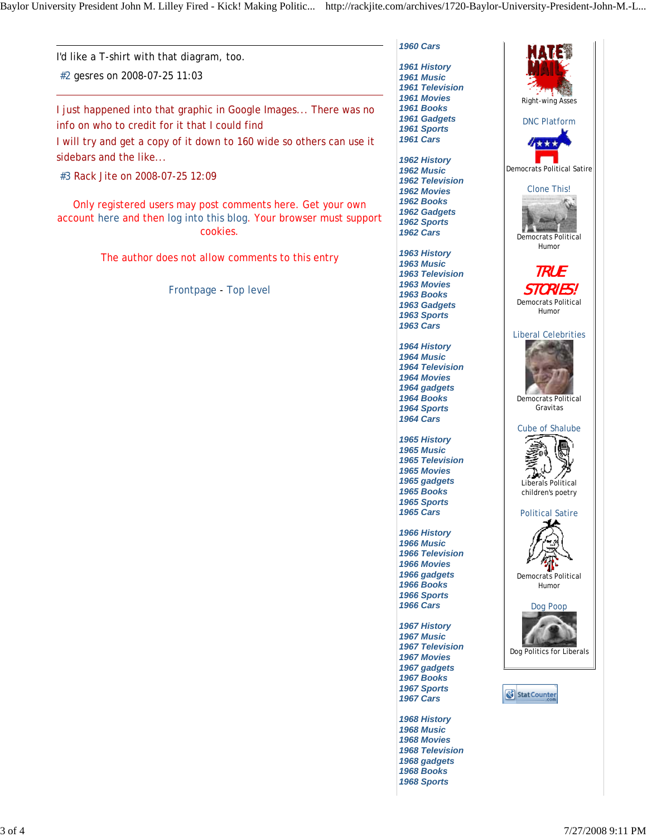Baylor University President John M. Lilley Fired - Kick! Making Politic... http://rackjite.com/archives/1720-Baylor-University-President-John-M.-L...

*1960 Cars*

*1961 History 1961 Music 1961 Television 1961 Movies 1961 Books 1961 Gadgets 1961 Sports 1961 Cars*

*1962 History 1962 Music 1962 Television 1962 Movies 1962 Books 1962 Gadgets 1962 Sports 1962 Cars*

*1963 History 1963 Music 1963 Television 1963 Movies 1963 Books 1963 Gadgets 1963 Sports 1963 Cars 1964 History 1964 Music 1964 Television 1964 Movies 1964 gadgets 1964 Books 1964 Sports 1964 Cars*

*1965 History 1965 Music 1965 Television 1965 Movies 1965 gadgets 1965 Books 1965 Sports 1965 Cars 1966 History 1966 Music 1966 Television 1966 Movies 1966 gadgets 1966 Books 1966 Sports 1966 Cars*

*1967 History 1967 Music 1967 Television 1967 Movies 1967 gadgets 1967 Books 1967 Sports 1967 Cars*

*1968 History 1968 Music 1968 Movies 1968 Television 1968 gadgets 1968 Books 1968 Sports*

I'd like a T-shirt with that diagram, too.

#2 gesres on 2008-07-25 11:03

I just happened into that graphic in Google Images... There was no info on who to credit for it that I could find I will try and get a copy of it down to 160 wide so others can use it

sidebars and the like...

#3 Rack Jite on 2008-07-25 12:09

Only registered users may post comments here. Get your own account here and then log into this blog. Your browser must support cookies.

The author does not allow comments to this entry

Frontpage - Top level

Right-wing Asses DNC Platform Democrats Political Satire Clone This! Democrats Political Humor TRUE STORIES! Democrats Political Humor Liberal Celebrities Democrats Political Gravitas Cube of Shalube Liberals Political children's poetry Political Satire Democrats Political Humor Dog Poop Dog Politics for LiberalsStat Counter